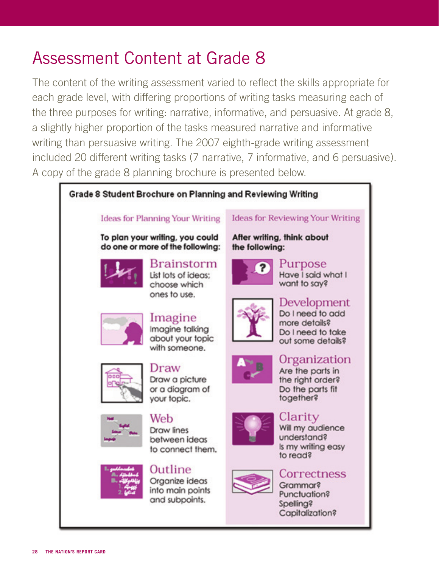# Assessment Content at Grade 8

The content of the writing assessment varied to reflect the skills appropriate for each grade level, with differing proportions of writing tasks measuring each of the three purposes for writing: narrative, informative, and persuasive. At grade 8, a slightly higher proportion of the tasks measured narrative and informative writing than persuasive writing. The 2007 eighth-grade writing assessment included 20 different writing tasks (7 narrative, 7 informative, and 6 persuasive). A copy of the grade 8 planning brochure is presented below.

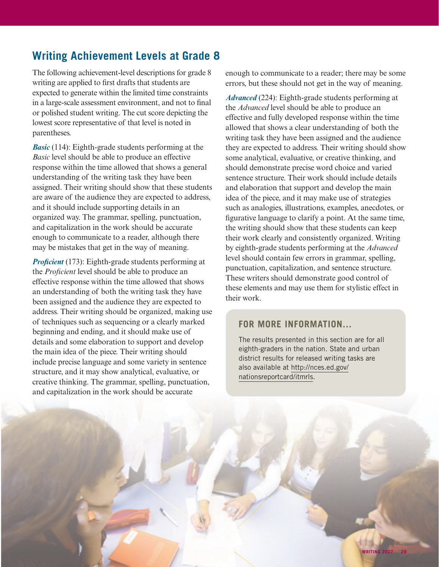# **Writing Achievement Levels at Grade 8**

The following achievement-level descriptions for grade 8 writing are applied to first drafts that students are expected to generate within the limited time constraints in a large-scale assessment environment, and not to final or polished student writing. The cut score depicting the lowest score representative of that level is noted in parentheses.

*Basic* (114): Eighth-grade students performing at the *Basic* level should be able to produce an effective response within the time allowed that shows a general understanding of the writing task they have been assigned. Their writing should show that these students are aware of the audience they are expected to address, and it should include supporting details in an organized way. The grammar, spelling, punctuation, and capitalization in the work should be accurate enough to communicate to a reader, although there may be mistakes that get in the way of meaning.

*Proficient* (173): Eighth-grade students performing at the *Proficient* level should be able to produce an effective response within the time allowed that shows an understanding of both the writing task they have been assigned and the audience they are expected to address. Their writing should be organized, making use of techniques such as sequencing or a clearly marked beginning and ending, and it should make use of details and some elaboration to support and develop the main idea of the piece. Their writing should include precise language and some variety in sentence structure, and it may show analytical, evaluative, or creative thinking. The grammar, spelling, punctuation, and capitalization in the work should be accurate

enough to communicate to a reader; there may be some errors, but these should not get in the way of meaning.

*Advanced* (224): Eighth-grade students performing at the *Advanced* level should be able to produce an effective and fully developed response within the time allowed that shows a clear understanding of both the writing task they have been assigned and the audience they are expected to address. Their writing should show some analytical, evaluative, or creative thinking, and should demonstrate precise word choice and varied sentence structure. Their work should include details and elaboration that support and develop the main idea of the piece, and it may make use of strategies such as analogies, illustrations, examples, anecdotes, or figurative language to clarify a point. At the same time, the writing should show that these students can keep their work clearly and consistently organized. Writing by eighth-grade students performing at the *Advanced* level should contain few errors in grammar, spelling, punctuation, capitalization, and sentence structure. These writers should demonstrate good control of these elements and may use them for stylistic effect in their work.

#### **FOR MORE INFORMATION...**

The results presented in this section are for all eighth-graders in the nation. State and urban district results for released writing tasks are [also available at http://nces.ed.gov/](http://nces.ed.gov/nationsreportcard/itmrls) nationsreportcard/itmrls.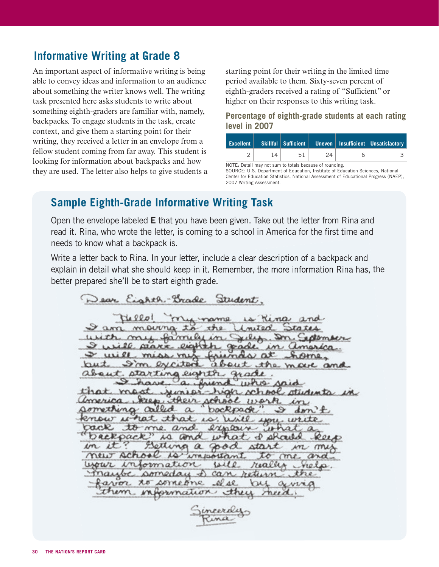## **Informative Writing at Grade 8**

An important aspect of informative writing is being able to convey ideas and information to an audience about something the writer knows well. The writing task presented here asks students to write about something eighth-graders are familiar with, namely, backpacks. To engage students in the task, create context, and give them a starting point for their writing, they received a letter in an envelope from a fellow student coming from far away. This student is looking for information about backpacks and how they are used. The letter also helps to give students a starting point for their writing in the limited time period available to them. Sixty-seven percent of eighth-graders received a rating of "Sufficient" or higher on their responses to this writing task.

**Percentage of eighth-grade students at each rating level in 2007**

| Excellent |    |    |    | Skillful   Sufficient   Uneven   Insufficient   Unsatisfactory |
|-----------|----|----|----|----------------------------------------------------------------|
|           | 1Δ | 51 | 24 |                                                                |

NOTE: Detail may not sum to totals because of rounding. SOURCE: U.S. Department of Education, Institute of Education Sciences, National Center for Education Statistics, National Assessment of Educational Progress (NAEP), 2007 Writing Assessment.

### **Sample Eighth-Grade Informative Writing Task**

Open the envelope labeled **E** that you have been given. Take out the letter from Rina and read it. Rina, who wrote the letter, is coming to a school in America for the first time and needs to know what a backpack is.

Write a letter back to Rina. In your letter, include a clear description of a backpack and explain in detail what she should keep in it. Remember, the more information Rina has, the better prepared she'll be to start eighth grade.

Dear Eighth-Grade Student. King and mama mited States  $\n *x*$   $\hat{r}$  a n Jele  $2m$ grade s at eveited about the m about starting eighth  $9400$ Nchool students  $M$ *<u>M</u>* keep their school mething called  $\alpha$ **DOCRPOGR** ے enow is hat that le son  $10.1$ write **Cack** to me and explain backpack" is and what I shoul start in it Setting a good my new school is important τo information will usour really rels. someday & can return maybe Ravor to someone else them information the

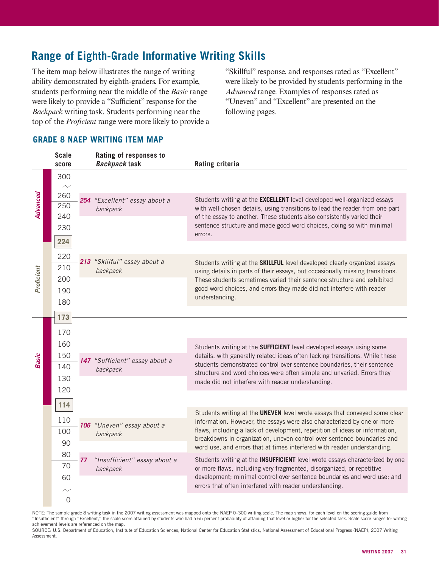# **Range of Eighth-Grade Informative Writing Skills**

The item map below illustrates the range of writing ability demonstrated by eighth-graders. For example, students performing near the middle of the *Basic* range were likely to provide a "Sufficient" response for the *Backpack* writing task. Students performing near the top of the *Proficient* range were more likely to provide a "Skillful" response, and responses rated as "Excellent" were likely to be provided by students performing in the *Advanced* range. Examples of responses rated as "Uneven" and "Excellent" are presented on the following pages.

#### **GRADE 8 NAEP WRITING ITEM MAP**

|              | <b>Scale</b><br>score | Rating of responses to<br><b>Backpack task</b> | <b>Rating criteria</b>                                                                                                                                                                                                                                                                                        |  |  |  |
|--------------|-----------------------|------------------------------------------------|---------------------------------------------------------------------------------------------------------------------------------------------------------------------------------------------------------------------------------------------------------------------------------------------------------------|--|--|--|
|              | 300<br>$\sim$         |                                                |                                                                                                                                                                                                                                                                                                               |  |  |  |
| Advanced     | 260<br>250<br>240     | 254 "Excellent" essay about a<br>backpack      | Students writing at the <b>EXCELLENT</b> level developed well-organized essays<br>with well-chosen details, using transitions to lead the reader from one part<br>of the essay to another. These students also consistently varied their                                                                      |  |  |  |
|              | 230                   |                                                | sentence structure and made good word choices, doing so with minimal<br>errors.                                                                                                                                                                                                                               |  |  |  |
|              | 224                   |                                                |                                                                                                                                                                                                                                                                                                               |  |  |  |
| Proficient   | 220<br>210<br>200     | 213 "Skillful" essay about a<br>backpack       | Students writing at the SKILLFUL level developed clearly organized essays<br>using details in parts of their essays, but occasionally missing transitions.<br>These students sometimes varied their sentence structure and exhibited                                                                          |  |  |  |
|              | 190<br>180            |                                                | good word choices, and errors they made did not interfere with reader<br>understanding.                                                                                                                                                                                                                       |  |  |  |
|              | 173                   |                                                |                                                                                                                                                                                                                                                                                                               |  |  |  |
|              |                       |                                                |                                                                                                                                                                                                                                                                                                               |  |  |  |
|              | 170<br>160            |                                                |                                                                                                                                                                                                                                                                                                               |  |  |  |
|              | 150                   |                                                | Students writing at the <b>SUFFICIENT</b> level developed essays using some<br>details, with generally related ideas often lacking transitions. While these                                                                                                                                                   |  |  |  |
| <b>Basic</b> | 140                   | 147 "Sufficient" essay about a                 | students demonstrated control over sentence boundaries, their sentence                                                                                                                                                                                                                                        |  |  |  |
|              | 130                   | backpack                                       | structure and word choices were often simple and unvaried. Errors they<br>made did not interfere with reader understanding.                                                                                                                                                                                   |  |  |  |
|              | 120                   |                                                |                                                                                                                                                                                                                                                                                                               |  |  |  |
|              | 114                   |                                                |                                                                                                                                                                                                                                                                                                               |  |  |  |
|              |                       |                                                | Students writing at the UNEVEN level wrote essays that conveyed some clear                                                                                                                                                                                                                                    |  |  |  |
|              | 110                   | 106 "Uneven" essay about a                     | information. However, the essays were also characterized by one or more<br>flaws, including a lack of development, repetition of ideas or information,<br>breakdowns in organization, uneven control over sentence boundaries and<br>word use, and errors that at times interfered with reader understanding. |  |  |  |
|              | 100<br>90             | backpack                                       |                                                                                                                                                                                                                                                                                                               |  |  |  |
|              | 80                    |                                                |                                                                                                                                                                                                                                                                                                               |  |  |  |
|              | 70                    | "Insufficient" essay about a<br>77             | Students writing at the INSUFFICIENT level wrote essays characterized by one                                                                                                                                                                                                                                  |  |  |  |
|              | 60                    | backpack                                       | or more flaws, including very fragmented, disorganized, or repetitive<br>development; minimal control over sentence boundaries and word use; and                                                                                                                                                              |  |  |  |
|              | $\sim$                |                                                | errors that often interfered with reader understanding.                                                                                                                                                                                                                                                       |  |  |  |
|              | $\overline{0}$        |                                                |                                                                                                                                                                                                                                                                                                               |  |  |  |

NOTE: The sample grade 8 writing task in the 2007 writing assessment was mapped onto the NAEP 0-300 writing scale. The map shows, for each level on the scoring guide from "Insufficient" through "Excellent," the scale score attained by students who had a 65 percent probability of attaining that level or higher for the selected task. Scale score ranges for writing achievement levels are referenced on the map.

SOURCE: U.S. Department of Education, Institute of Education Sciences, National Center for Education Statistics, National Assessment of Educational Progress (NAEP), 2007 Writing Assessment.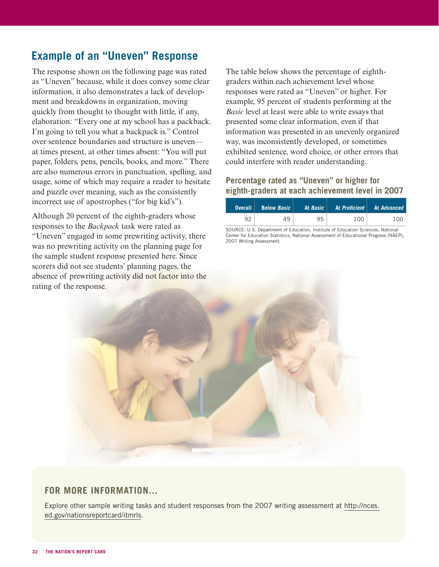# **Example of an "Uneven" Response**

The response shown on the following page was rated as "Uneven" because, while it does convey some clear information, it also demonstrates a lack of development and breakdowns in organization, moving quickly from thought to thought with little, if any, elaboration: "Every one at my school has a packback. I'm going to tell you what a backpack is." Control over sentence boundaries and structure is uneven at times present, at other times absent: "You will put paper, folders, pens, pencils, books, and more." There are also numerous errors in punctuation, spelling, and usage, some of which may require a reader to hesitate and puzzle over meaning, such as the consistently incorrect use of apostrophes ("for big kid's").

Although 20 percent of the eighth-graders whose responses to the *Backpack* task were rated as "Uneven" engaged in some prewriting activity, there was no prewriting activity on the planning page for the sample student response presented here. Since scorers did not see students' planning pages, the absence of prewriting activity did not factor into the rating of the response.

The table below shows the percentage of eighthgraders within each achievement level whose responses were rated as "Uneven" or higher. For example, 95 percent of students performing at the *Basic* level at least were able to write essays that presented some clear information, even if that information was presented in an unevenly organized way, was inconsistently developed, or sometimes exhibited sentence, word choice, or other errors that could interfere with reader understanding.

#### **Percentage rated as "Uneven" or higher for eighth-graders at each achievement level in 2007**

|    |    |    | <b>Overall</b> Below Basic   At Basic   At Proficient   At Advanced |     |
|----|----|----|---------------------------------------------------------------------|-----|
| 92 | 49 | 95 | 100                                                                 | 100 |

SOURCE: U.S. Department of Education, Institute of Education Sciences, National Center for Education Statistics, National Assessment of Educational Progress (NAEP), 2007 Writing Assessment.



#### **FOR MORE INFORMATION...**

[Explore other sample writing tasks and student responses from the 2007 writing assessment at http://nces.](http://nces.ed.gov/nationsreportcard/itmrls) ed.gov/nationsreportcard/itmrls.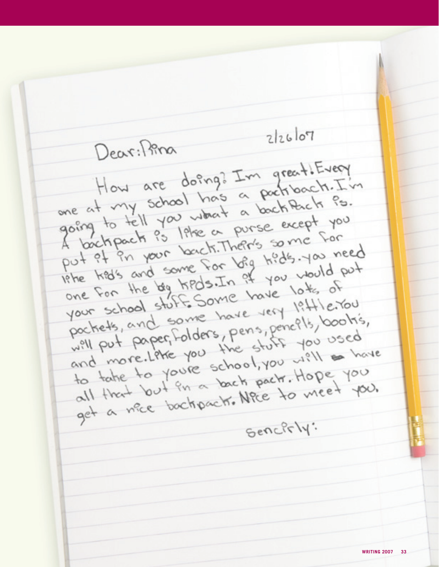$2126107$ Dear: Prina How are doing? I'm great Every How are doing? I'm great. Livery<br>and a to tell you what a bockback is.<br>going to tell you what a bockback is.<br>A bockpack is like or purse except you A backpack is like a purse some for A bochpour back. Their's some need<br>put et en your back. Their's some need put of in your for big hids. You need<br>It he kids and some for big tids. You yould put one ton the stuff some have left le. You<br>your school stuff some have very lift le. You your school some have very little. looks, pockets, and paper, folders, pens, pencis, wood will put paper.<br>and more. Like you the stutt to have<br>to take to youre school, you will a have to take to you're school, you when you to take tout in a back pack. Moved you.<br>get a nice bockpack. Nice to meet you. Sencirly: **WRITING 2007**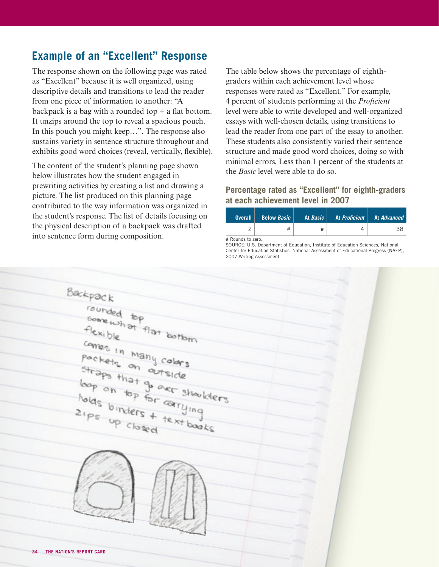### **Example of an "Excellent" Response**

The response shown on the following page was rated as "Excellent" because it is well organized, using descriptive details and transitions to lead the reader from one piece of information to another: "A backpack is a bag with a rounded top  $+$  a flat bottom. It unzips around the top to reveal a spacious pouch. In this pouch you might keep…". The response also sustains variety in sentence structure throughout and exhibits good word choices (reveal, vertically, flexible).

The content of the student's planning page shown below illustrates how the student engaged in prewriting activities by creating a list and drawing a picture. The list produced on this planning page contributed to the way information was organized in the student's response. The list of details focusing on the physical description of a backpack was drafted into sentence form during composition.

The table below shows the percentage of eighthgraders within each achievement level whose responses were rated as "Excellent." For example, 4 percent of students performing at the *Proficient* level were able to write developed and well-organized essays with well-chosen details, using transitions to lead the reader from one part of the essay to another. These students also consistently varied their sentence structure and made good word choices, doing so with minimal errors. Less than 1 percent of the students at the *Basic* level were able to do so.

#### **Percentage rated as "Excellent" for eighth-graders at each achievement level in 2007**

| $\Omega$ verall | <b>Below Basic</b> | At <i>Basic</i> $\vert$ | At Proficient   At Advanced |
|-----------------|--------------------|-------------------------|-----------------------------|
|                 |                    |                         |                             |

# Rounds to zero.

SOURCE: U.S. Department of Education, Institute of Education Sciences, National Center for Education Statistics, National Assessment of Educational Progress (NAEP), 2007 Writing Assessment.